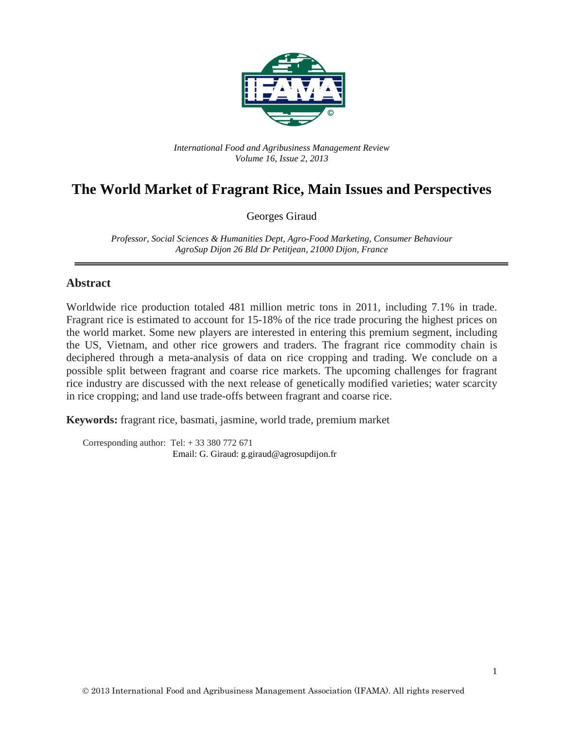

*International Food and Agribusiness Management Review Volume 16, Issue 2, 2013*

# **The World Market of Fragrant Rice, Main Issues and Perspectives**

Georges Giraud

*Professor, Social Sciences & Humanities Dept, Agro-Food Marketing, Consumer Behaviour AgroSup Dijon 26 Bld Dr Petitjean, 21000 Dijon, France*

#### **Abstract**

Worldwide rice production totaled 481 million metric tons in 2011, including 7.1% in trade. Fragrant rice is estimated to account for 15-18% of the rice trade procuring the highest prices on the world market. Some new players are interested in entering this premium segment, including the US, Vietnam, and other rice growers and traders. The fragrant rice commodity chain is deciphered through a meta-analysis of data on rice cropping and trading. We conclude on a possible split between fragrant and coarse rice markets. The upcoming challenges for fragrant rice industry are discussed with the next release of genetically modified varieties; water scarcity in rice cropping; and land use trade-offs between fragrant and coarse rice.

**Keywords:** fragrant rice, basmati, jasmine, world trade, premium market

Corresponding author: Tel:  $+ 33 380 772 671$ Email: G. Giraud: g.giraud@agrosupdijon.fr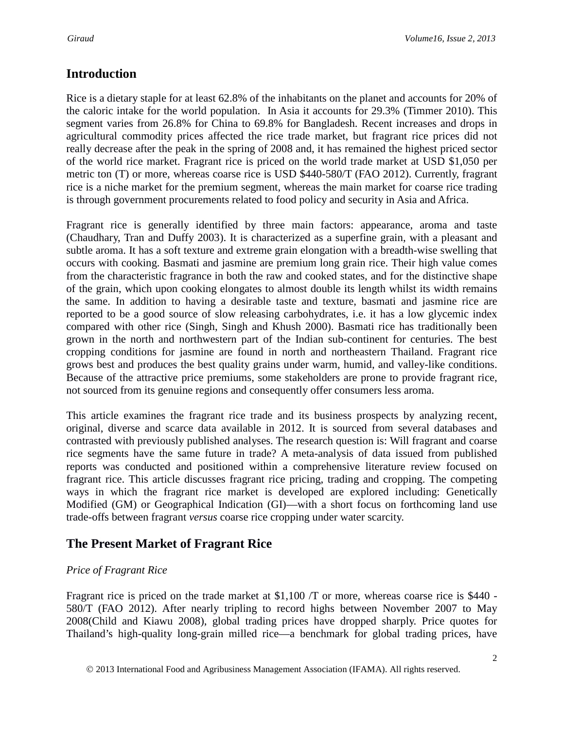## **Introduction**

Rice is a dietary staple for at least 62.8% of the inhabitants on the planet and accounts for 20% of the caloric intake for the world population. In Asia it accounts for 29.3% (Timmer 2010). This segment varies from 26.8% for China to 69.8% for Bangladesh. Recent increases and drops in agricultural commodity prices affected the rice trade market, but fragrant rice prices did not really decrease after the peak in the spring of 2008 and, it has remained the highest priced sector of the world rice market. Fragrant rice is priced on the world trade market at USD \$1,050 per metric ton (T) or more, whereas coarse rice is USD \$440-580/T (FAO 2012). Currently, fragrant rice is a niche market for the premium segment, whereas the main market for coarse rice trading is through government procurements related to food policy and security in Asia and Africa.

Fragrant rice is generally identified by three main factors: appearance, aroma and taste (Chaudhary, Tran and Duffy 2003). It is characterized as a superfine grain, with a pleasant and subtle aroma. It has a soft texture and extreme grain elongation with a breadth-wise swelling that occurs with cooking. Basmati and jasmine are premium long grain rice. Their high value comes from the characteristic fragrance in both the raw and cooked states, and for the distinctive shape of the grain, which upon cooking elongates to almost double its length whilst its width remains the same. In addition to having a desirable taste and texture, basmati and jasmine rice are reported to be a good source of slow releasing carbohydrates, i.e. it has a low glycemic index compared with other rice (Singh, Singh and Khush 2000). Basmati rice has traditionally been grown in the north and northwestern part of the Indian sub-continent for centuries. The best cropping conditions for jasmine are found in north and northeastern Thailand. Fragrant rice grows best and produces the best quality grains under warm, humid, and valley-like conditions. Because of the attractive price premiums, some stakeholders are prone to provide fragrant rice, not sourced from its genuine regions and consequently offer consumers less aroma.

This article examines the fragrant rice trade and its business prospects by analyzing recent, original, diverse and scarce data available in 2012. It is sourced from several databases and contrasted with previously published analyses. The research question is: Will fragrant and coarse rice segments have the same future in trade? A meta-analysis of data issued from published reports was conducted and positioned within a comprehensive literature review focused on fragrant rice. This article discusses fragrant rice pricing, trading and cropping. The competing ways in which the fragrant rice market is developed are explored including: Genetically Modified (GM) or Geographical Indication (GI)—with a short focus on forthcoming land use trade-offs between fragrant *versus* coarse rice cropping under water scarcity.

## **The Present Market of Fragrant Rice**

### *Price of Fragrant Rice*

Fragrant rice is priced on the trade market at \$1,100 /T or more, whereas coarse rice is \$440 - 580/T (FAO 2012). After nearly tripling to record highs between November 2007 to May 2008(Child and Kiawu 2008), global trading prices have dropped sharply. Price quotes for Thailand's high-quality long-grain milled rice—a benchmark for global trading prices, have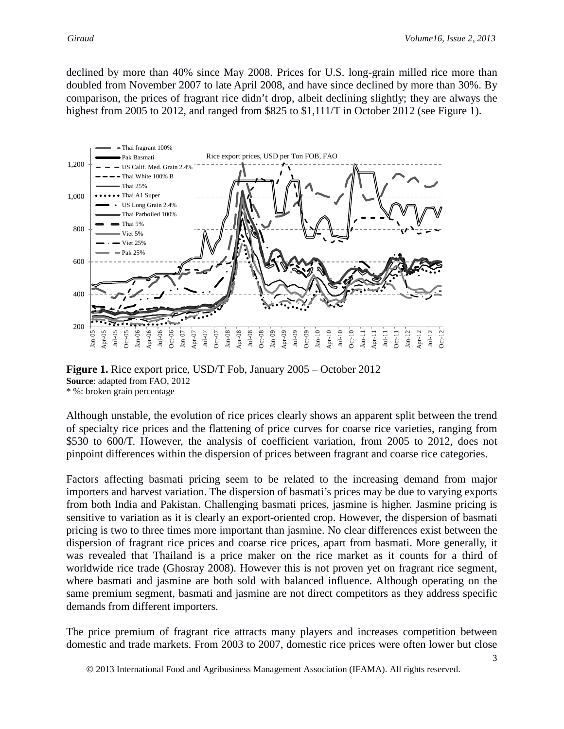declined by more than 40% since May 2008. Prices for U.S. long-grain milled rice more than doubled from November 2007 to late April 2008, and have since declined by more than 30%. By comparison, the prices of fragrant rice didn't drop, albeit declining slightly; they are always the highest from 2005 to 2012, and ranged from \$825 to \$1,111/T in October 2012 (see Figure 1).



**Figure 1.** Rice export price, USD/T Fob, January 2005 – October 2012 **Source**: adapted from FAO, 2012 \* %: broken grain percentage

Although unstable, the evolution of rice prices clearly shows an apparent split between the trend of specialty rice prices and the flattening of price curves for coarse rice varieties, ranging from \$530 to 600/T. However, the analysis of coefficient variation, from 2005 to 2012, does not pinpoint differences within the dispersion of prices between fragrant and coarse rice categories.

Factors affecting basmati pricing seem to be related to the increasing demand from major importers and harvest variation. The dispersion of basmati's prices may be due to varying exports from both India and Pakistan. Challenging basmati prices, jasmine is higher. Jasmine pricing is sensitive to variation as it is clearly an export-oriented crop. However, the dispersion of basmati pricing is two to three times more important than jasmine. No clear differences exist between the dispersion of fragrant rice prices and coarse rice prices, apart from basmati. More generally, it was revealed that Thailand is a price maker on the rice market as it counts for a third of worldwide rice trade (Ghosray 2008). However this is not proven yet on fragrant rice segment, where basmati and jasmine are both sold with balanced influence. Although operating on the same premium segment, basmati and jasmine are not direct competitors as they address specific demands from different importers.

The price premium of fragrant rice attracts many players and increases competition between domestic and trade markets. From 2003 to 2007, domestic rice prices were often lower but close

2013 International Food and Agribusiness Management Association (IFAMA). All rights reserved.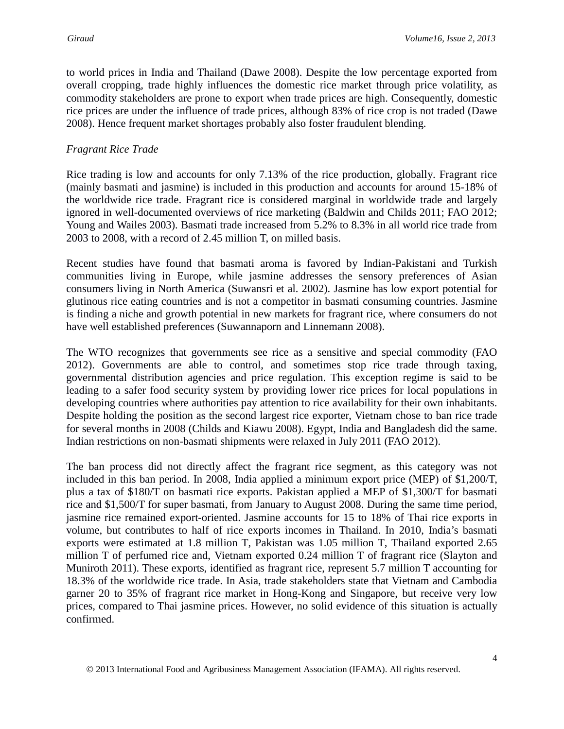to world prices in India and Thailand (Dawe 2008). Despite the low percentage exported from overall cropping, trade highly influences the domestic rice market through price volatility, as commodity stakeholders are prone to export when trade prices are high. Consequently, domestic rice prices are under the influence of trade prices, although 83% of rice crop is not traded (Dawe 2008). Hence frequent market shortages probably also foster fraudulent blending.

#### *Fragrant Rice Trade*

Rice trading is low and accounts for only 7.13% of the rice production, globally. Fragrant rice (mainly basmati and jasmine) is included in this production and accounts for around 15-18% of the worldwide rice trade. Fragrant rice is considered marginal in worldwide trade and largely ignored in well-documented overviews of rice marketing (Baldwin and Childs 2011; FAO 2012; Young and Wailes 2003). Basmati trade increased from 5.2% to 8.3% in all world rice trade from 2003 to 2008, with a record of 2.45 million T, on milled basis.

Recent studies have found that basmati aroma is favored by Indian-Pakistani and Turkish communities living in Europe, while jasmine addresses the sensory preferences of Asian consumers living in North America (Suwansri et al. 2002). Jasmine has low export potential for glutinous rice eating countries and is not a competitor in basmati consuming countries. Jasmine is finding a niche and growth potential in new markets for fragrant rice, where consumers do not have well established preferences (Suwannaporn and Linnemann 2008).

The WTO recognizes that governments see rice as a sensitive and special commodity (FAO 2012). Governments are able to control, and sometimes stop rice trade through taxing, governmental distribution agencies and price regulation. This exception regime is said to be leading to a safer food security system by providing lower rice prices for local populations in developing countries where authorities pay attention to rice availability for their own inhabitants. Despite holding the position as the second largest rice exporter, Vietnam chose to ban rice trade for several months in 2008 (Childs and Kiawu 2008). Egypt, India and Bangladesh did the same. Indian restrictions on non-basmati shipments were relaxed in July 2011 (FAO 2012).

The ban process did not directly affect the fragrant rice segment, as this category was not included in this ban period. In 2008, India applied a minimum export price (MEP) of \$1,200/T, plus a tax of \$180/T on basmati rice exports. Pakistan applied a MEP of \$1,300/T for basmati rice and \$1,500/T for super basmati, from January to August 2008. During the same time period, jasmine rice remained export-oriented. Jasmine accounts for 15 to 18% of Thai rice exports in volume, but contributes to half of rice exports incomes in Thailand. In 2010, India's basmati exports were estimated at 1.8 million T, Pakistan was 1.05 million T, Thailand exported 2.65 million T of perfumed rice and, Vietnam exported 0.24 million T of fragrant rice (Slayton and Muniroth 2011). These exports, identified as fragrant rice, represent 5.7 million T accounting for 18.3% of the worldwide rice trade. In Asia, trade stakeholders state that Vietnam and Cambodia garner 20 to 35% of fragrant rice market in Hong-Kong and Singapore, but receive very low prices, compared to Thai jasmine prices. However, no solid evidence of this situation is actually confirmed.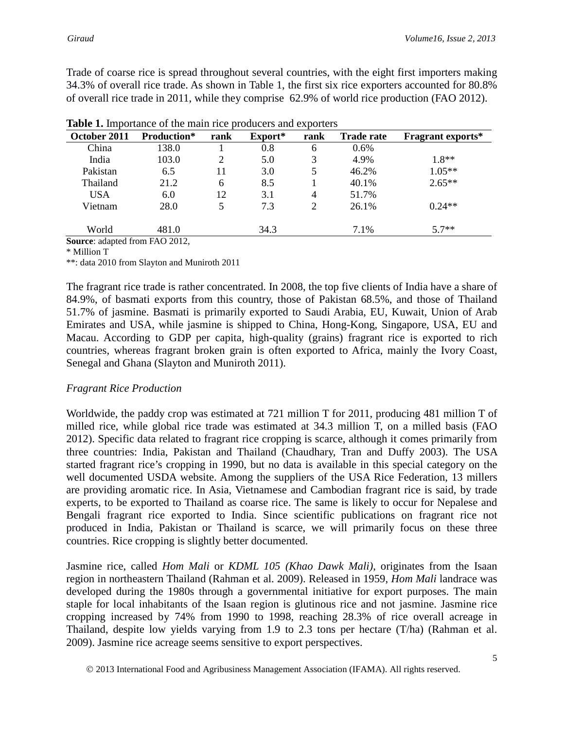Trade of coarse rice is spread throughout several countries, with the eight first importers making 34.3% of overall rice trade. As shown in Table 1, the first six rice exporters accounted for 80.8% of overall rice trade in 2011, while they comprise 62.9% of world rice production (FAO 2012).

| October 2011            | <b>Production*</b> | rank | Export* | rank | <b>Trade rate</b> | <b>Fragrant exports*</b> |
|-------------------------|--------------------|------|---------|------|-------------------|--------------------------|
| China                   | 138.0              |      | $0.8\,$ | 6    | 0.6%              |                          |
| India                   | 103.0              | ာ    | 5.0     | 3    | 4.9%              | $1.8**$                  |
| Pakistan                | 6.5                | 11   | 3.0     | 5    | 46.2%             | $1.05**$                 |
| Thailand                | 21.2               | 6    | 8.5     |      | 40.1%             | $2.65**$                 |
| <b>USA</b>              | 6.0                | 12   | 3.1     | 4    | 51.7%             |                          |
| Vietnam                 | 28.0               | 5    | 7.3     | 2    | 26.1%             | $0.24**$                 |
| World<br><b>Service</b> | 481.0              |      | 34.3    |      | 7.1%              | $5.7**$                  |

|  | Table 1. Importance of the main rice producers and exporters |  |  |  |  |  |  |
|--|--------------------------------------------------------------|--|--|--|--|--|--|
|--|--------------------------------------------------------------|--|--|--|--|--|--|

**Source**: adapted from FAO 2012,

\* Million T

\*\*: data 2010 from Slayton and Muniroth 2011

The fragrant rice trade is rather concentrated. In 2008, the top five clients of India have a share of 84.9%, of basmati exports from this country, those of Pakistan 68.5%, and those of Thailand 51.7% of jasmine. Basmati is primarily exported to Saudi Arabia, EU, Kuwait, Union of Arab Emirates and USA, while jasmine is shipped to China, Hong-Kong, Singapore, USA, EU and Macau. According to GDP per capita, high-quality (grains) fragrant rice is exported to rich countries, whereas fragrant broken grain is often exported to Africa, mainly the Ivory Coast, Senegal and Ghana (Slayton and Muniroth 2011).

#### *Fragrant Rice Production*

Worldwide, the paddy crop was estimated at 721 million T for 2011, producing 481 million T of milled rice, while global rice trade was estimated at 34.3 million T, on a milled basis (FAO 2012). Specific data related to fragrant rice cropping is scarce, although it comes primarily from three countries: India, Pakistan and Thailand (Chaudhary, Tran and Duffy 2003). The USA started fragrant rice's cropping in 1990, but no data is available in this special category on the well documented USDA website. Among the suppliers of the USA Rice Federation, 13 millers are providing aromatic rice. In Asia, Vietnamese and Cambodian fragrant rice is said, by trade experts, to be exported to Thailand as coarse rice. The same is likely to occur for Nepalese and Bengali fragrant rice exported to India. Since scientific publications on fragrant rice not produced in India, Pakistan or Thailand is scarce, we will primarily focus on these three countries. Rice cropping is slightly better documented.

Jasmine rice, called *Hom Mali* or *KDML 105 (Khao Dawk Mali)*, originates from the Isaan region in northeastern Thailand (Rahman et al. 2009). Released in 1959, *Hom Mali* landrace was developed during the 1980s through a governmental initiative for export purposes. The main staple for local inhabitants of the Isaan region is glutinous rice and not jasmine. Jasmine rice cropping increased by 74% from 1990 to 1998, reaching 28.3% of rice overall acreage in Thailand, despite low yields varying from 1.9 to 2.3 tons per hectare (T/ha) (Rahman et al. 2009). Jasmine rice acreage seems sensitive to export perspectives.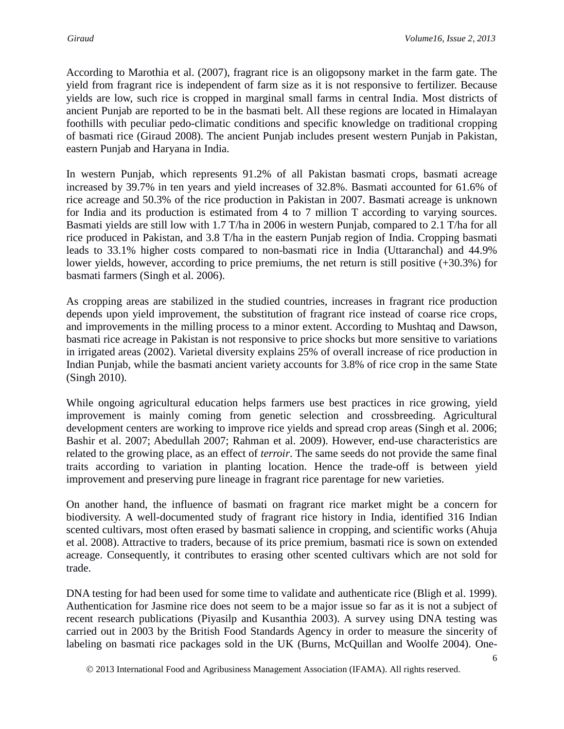According to Marothia et al. (2007), fragrant rice is an oligopsony market in the farm gate. The yield from fragrant rice is independent of farm size as it is not responsive to fertilizer. Because yields are low, such rice is cropped in marginal small farms in central India. Most districts of ancient Punjab are reported to be in the basmati belt. All these regions are located in Himalayan foothills with peculiar pedo-climatic conditions and specific knowledge on traditional cropping of basmati rice (Giraud 2008). The ancient Punjab includes present western Punjab in Pakistan, eastern Punjab and Haryana in India.

In western Punjab, which represents 91.2% of all Pakistan basmati crops, basmati acreage increased by 39.7% in ten years and yield increases of 32.8%. Basmati accounted for 61.6% of rice acreage and 50.3% of the rice production in Pakistan in 2007. Basmati acreage is unknown for India and its production is estimated from 4 to 7 million T according to varying sources. Basmati yields are still low with 1.7 T/ha in 2006 in western Punjab, compared to 2.1 T/ha for all rice produced in Pakistan, and 3.8 T/ha in the eastern Punjab region of India. Cropping basmati leads to 33.1% higher costs compared to non-basmati rice in India (Uttaranchal) and 44.9% lower yields, however, according to price premiums, the net return is still positive (+30.3%) for basmati farmers (Singh et al. 2006).

As cropping areas are stabilized in the studied countries, increases in fragrant rice production depends upon yield improvement, the substitution of fragrant rice instead of coarse rice crops, and improvements in the milling process to a minor extent. According to Mushtaq and Dawson, basmati rice acreage in Pakistan is not responsive to price shocks but more sensitive to variations in irrigated areas (2002). Varietal diversity explains 25% of overall increase of rice production in Indian Punjab, while the basmati ancient variety accounts for 3.8% of rice crop in the same State (Singh 2010).

While ongoing agricultural education helps farmers use best practices in rice growing, yield improvement is mainly coming from genetic selection and crossbreeding. Agricultural development centers are working to improve rice yields and spread crop areas (Singh et al. 2006; Bashir et al. 2007; Abedullah 2007; Rahman et al. 2009). However, end-use characteristics are related to the growing place, as an effect of *terroir*. The same seeds do not provide the same final traits according to variation in planting location. Hence the trade-off is between yield improvement and preserving pure lineage in fragrant rice parentage for new varieties.

On another hand, the influence of basmati on fragrant rice market might be a concern for biodiversity. A well-documented study of fragrant rice history in India, identified 316 Indian scented cultivars, most often erased by basmati salience in cropping, and scientific works (Ahuja et al. 2008). Attractive to traders, because of its price premium, basmati rice is sown on extended acreage. Consequently, it contributes to erasing other scented cultivars which are not sold for trade.

DNA testing for had been used for some time to validate and authenticate rice (Bligh et al. 1999). Authentication for Jasmine rice does not seem to be a major issue so far as it is not a subject of recent research publications (Piyasilp and Kusanthia 2003). A survey using DNA testing was carried out in 2003 by the British Food Standards Agency in order to measure the sincerity of labeling on basmati rice packages sold in the UK (Burns, McQuillan and Woolfe 2004). One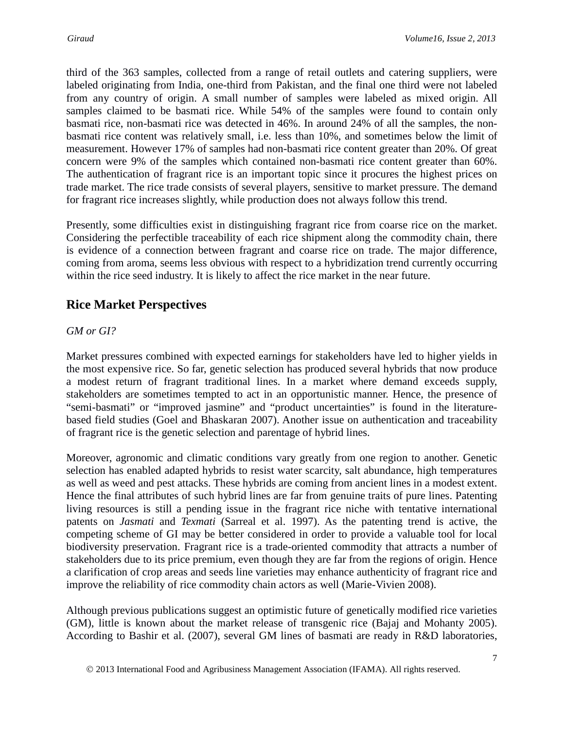third of the 363 samples, collected from a range of retail outlets and catering suppliers, were labeled originating from India, one-third from Pakistan, and the final one third were not labeled from any country of origin. A small number of samples were labeled as mixed origin. All samples claimed to be basmati rice. While 54% of the samples were found to contain only basmati rice, non-basmati rice was detected in 46%. In around 24% of all the samples, the nonbasmati rice content was relatively small, i.e. less than 10%, and sometimes below the limit of measurement. However 17% of samples had non-basmati rice content greater than 20%. Of great concern were 9% of the samples which contained non-basmati rice content greater than 60%. The authentication of fragrant rice is an important topic since it procures the highest prices on trade market. The rice trade consists of several players, sensitive to market pressure. The demand for fragrant rice increases slightly, while production does not always follow this trend.

Presently, some difficulties exist in distinguishing fragrant rice from coarse rice on the market. Considering the perfectible traceability of each rice shipment along the commodity chain, there is evidence of a connection between fragrant and coarse rice on trade. The major difference, coming from aroma, seems less obvious with respect to a hybridization trend currently occurring within the rice seed industry. It is likely to affect the rice market in the near future.

## **Rice Market Perspectives**

### *GM or GI?*

Market pressures combined with expected earnings for stakeholders have led to higher yields in the most expensive rice. So far, genetic selection has produced several hybrids that now produce a modest return of fragrant traditional lines. In a market where demand exceeds supply, stakeholders are sometimes tempted to act in an opportunistic manner. Hence, the presence of "semi-basmati" or "improved jasmine" and "product uncertainties" is found in the literaturebased field studies (Goel and Bhaskaran 2007). Another issue on authentication and traceability of fragrant rice is the genetic selection and parentage of hybrid lines.

Moreover, agronomic and climatic conditions vary greatly from one region to another. Genetic selection has enabled adapted hybrids to resist water scarcity, salt abundance, high temperatures as well as weed and pest attacks. These hybrids are coming from ancient lines in a modest extent. Hence the final attributes of such hybrid lines are far from genuine traits of pure lines. Patenting living resources is still a pending issue in the fragrant rice niche with tentative international patents on *Jasmati* and *Texmati* (Sarreal et al. 1997). As the patenting trend is active, the competing scheme of GI may be better considered in order to provide a valuable tool for local biodiversity preservation. Fragrant rice is a trade-oriented commodity that attracts a number of stakeholders due to its price premium, even though they are far from the regions of origin. Hence a clarification of crop areas and seeds line varieties may enhance authenticity of fragrant rice and improve the reliability of rice commodity chain actors as well (Marie-Vivien 2008).

Although previous publications suggest an optimistic future of genetically modified rice varieties (GM), little is known about the market release of transgenic rice (Bajaj and Mohanty 2005). According to Bashir et al. (2007), several GM lines of basmati are ready in R&D laboratories,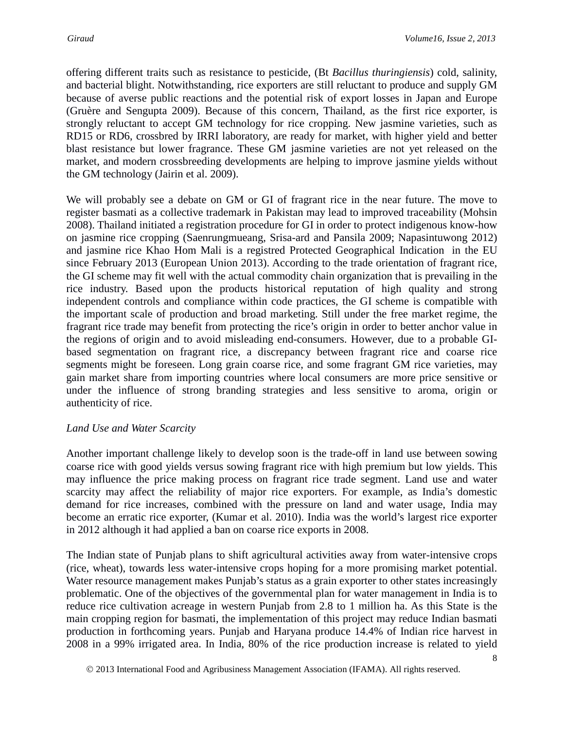offering different traits such as resistance to pesticide, (Bt *Bacillus thuringiensis*) cold, salinity, and bacterial blight. Notwithstanding, rice exporters are still reluctant to produce and supply GM because of averse public reactions and the potential risk of export losses in Japan and Europe (Gruère and Sengupta 2009). Because of this concern, Thailand, as the first rice exporter, is strongly reluctant to accept GM technology for rice cropping. New jasmine varieties, such as RD15 or RD6, crossbred by IRRI laboratory, are ready for market, with higher yield and better blast resistance but lower fragrance. These GM jasmine varieties are not yet released on the market, and modern crossbreeding developments are helping to improve jasmine yields without the GM technology (Jairin et al. 2009).

We will probably see a debate on GM or GI of fragrant rice in the near future. The move to register basmati as a collective trademark in Pakistan may lead to improved traceability (Mohsin 2008). Thailand initiated a registration procedure for GI in order to protect indigenous know-how on jasmine rice cropping (Saenrungmueang, Srisa-ard and Pansila 2009; Napasintuwong 2012) and jasmine rice Khao Hom Mali is a registred Protected Geographical Indication in the EU since February 2013 (European Union 2013). According to the trade orientation of fragrant rice, the GI scheme may fit well with the actual commodity chain organization that is prevailing in the rice industry. Based upon the products historical reputation of high quality and strong independent controls and compliance within code practices, the GI scheme is compatible with the important scale of production and broad marketing. Still under the free market regime, the fragrant rice trade may benefit from protecting the rice's origin in order to better anchor value in the regions of origin and to avoid misleading end-consumers. However, due to a probable GIbased segmentation on fragrant rice, a discrepancy between fragrant rice and coarse rice segments might be foreseen. Long grain coarse rice, and some fragrant GM rice varieties, may gain market share from importing countries where local consumers are more price sensitive or under the influence of strong branding strategies and less sensitive to aroma, origin or authenticity of rice.

#### *Land Use and Water Scarcity*

Another important challenge likely to develop soon is the trade-off in land use between sowing coarse rice with good yields versus sowing fragrant rice with high premium but low yields. This may influence the price making process on fragrant rice trade segment. Land use and water scarcity may affect the reliability of major rice exporters. For example, as India's domestic demand for rice increases, combined with the pressure on land and water usage, India may become an erratic rice exporter, (Kumar et al. 2010). India was the world's largest rice exporter in 2012 although it had applied a ban on coarse rice exports in 2008.

The Indian state of Punjab plans to shift agricultural activities away from water-intensive crops (rice, wheat), towards less water-intensive crops hoping for a more promising market potential. Water resource management makes Punjab's status as a grain exporter to other states increasingly problematic. One of the objectives of the governmental plan for water management in India is to reduce rice cultivation acreage in western Punjab from 2.8 to 1 million ha. As this State is the main cropping region for basmati, the implementation of this project may reduce Indian basmati production in forthcoming years. Punjab and Haryana produce 14.4% of Indian rice harvest in 2008 in a 99% irrigated area. In India, 80% of the rice production increase is related to yield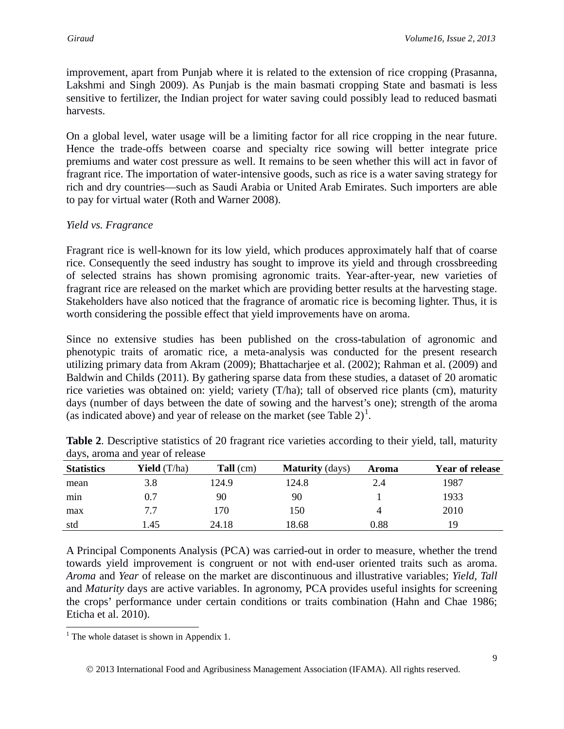improvement, apart from Punjab where it is related to the extension of rice cropping (Prasanna, Lakshmi and Singh 2009). As Punjab is the main basmati cropping State and basmati is less sensitive to fertilizer, the Indian project for water saving could possibly lead to reduced basmati harvests.

On a global level, water usage will be a limiting factor for all rice cropping in the near future. Hence the trade-offs between coarse and specialty rice sowing will better integrate price premiums and water cost pressure as well. It remains to be seen whether this will act in favor of fragrant rice. The importation of water-intensive goods, such as rice is a water saving strategy for rich and dry countries—such as Saudi Arabia or United Arab Emirates. Such importers are able to pay for virtual water (Roth and Warner 2008).

### *Yield vs. Fragrance*

Fragrant rice is well-known for its low yield, which produces approximately half that of coarse rice. Consequently the seed industry has sought to improve its yield and through crossbreeding of selected strains has shown promising agronomic traits. Year-after-year, new varieties of fragrant rice are released on the market which are providing better results at the harvesting stage. Stakeholders have also noticed that the fragrance of aromatic rice is becoming lighter. Thus, it is worth considering the possible effect that yield improvements have on aroma.

Since no extensive studies has been published on the cross-tabulation of agronomic and phenotypic traits of aromatic rice, a meta-analysis was conducted for the present research utilizing primary data from Akram (2009); Bhattacharjee et al. (2002); Rahman et al. (2009) and Baldwin and Childs (2011). By gathering sparse data from these studies, a dataset of 20 aromatic rice varieties was obtained on: yield; variety (T/ha); tall of observed rice plants (cm), maturity days (number of days between the date of sowing and the harvest's one); strength of the aroma (as indicated above) and year of release on the market (see Table  $2)^{1}$  $2)^{1}$  $2)^{1}$ .

| <b>Statistics</b> | <b>Yield</b> $(T/ha)$ | $Tall$ (cm) | <b>Maturity</b> (days) | Aroma | Year of release |
|-------------------|-----------------------|-------------|------------------------|-------|-----------------|
| mean              | 3.8                   | 124.9       | 124.8                  | 2.4   | 1987            |
| min               | 0.7                   | 90          | 90                     |       | 1933            |
| max               | 7.7                   | 170         | 150                    |       | 2010            |
| std               | 1.45                  | 24.18       | 18.68                  | 0.88  | 19              |

**Table 2**. Descriptive statistics of 20 fragrant rice varieties according to their yield, tall, maturity days, aroma and year of release

A Principal Components Analysis (PCA) was carried-out in order to measure, whether the trend towards yield improvement is congruent or not with end-user oriented traits such as aroma. *Aroma* and *Year* of release on the market are discontinuous and illustrative variables; *Yield*, *Tall* and *Maturity* days are active variables. In agronomy, PCA provides useful insights for screening the crops' performance under certain conditions or traits combination (Hahn and Chae 1986; Eticha et al. 2010).

<span id="page-8-0"></span><sup>&</sup>lt;sup>1</sup> The whole dataset is shown in Appendix 1.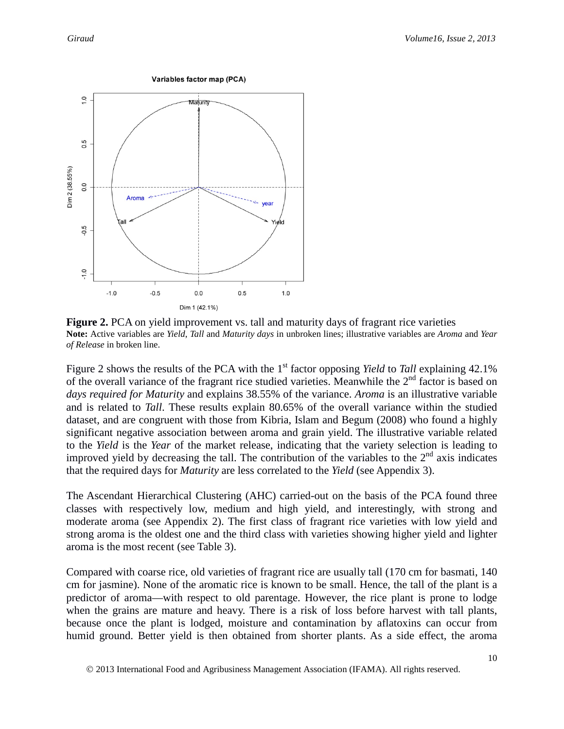

**Figure 2.** PCA on yield improvement vs. tall and maturity days of fragrant rice varieties **Note:** Active variables are *Yield*, *Tall* and *Maturity days* in unbroken lines; illustrative variables are *Aroma* and *Year of Release* in broken line.

Figure 2 shows the results of the PCA with the 1<sup>st</sup> factor opposing *Yield* to *Tall* explaining 42.1% of the overall variance of the fragrant rice studied varieties. Meanwhile the  $2<sup>nd</sup>$  factor is based on *days required for Maturity* and explains 38.55% of the variance. *Aroma* is an illustrative variable and is related to *Tall*. These results explain 80.65% of the overall variance within the studied dataset, and are congruent with those from Kibria, Islam and Begum (2008) who found a highly significant negative association between aroma and grain yield. The illustrative variable related to the *Yield* is the *Year* of the market release, indicating that the variety selection is leading to improved yield by decreasing the tall. The contribution of the variables to the  $2<sup>nd</sup>$  axis indicates that the required days for *Maturity* are less correlated to the *Yield* (see Appendix 3).

The Ascendant Hierarchical Clustering (AHC) carried-out on the basis of the PCA found three classes with respectively low, medium and high yield, and interestingly, with strong and moderate aroma (see Appendix 2). The first class of fragrant rice varieties with low yield and strong aroma is the oldest one and the third class with varieties showing higher yield and lighter aroma is the most recent (see Table 3).

Compared with coarse rice, old varieties of fragrant rice are usually tall (170 cm for basmati, 140 cm for jasmine). None of the aromatic rice is known to be small. Hence, the tall of the plant is a predictor of aroma—with respect to old parentage. However, the rice plant is prone to lodge when the grains are mature and heavy. There is a risk of loss before harvest with tall plants, because once the plant is lodged, moisture and contamination by aflatoxins can occur from humid ground. Better yield is then obtained from shorter plants. As a side effect, the aroma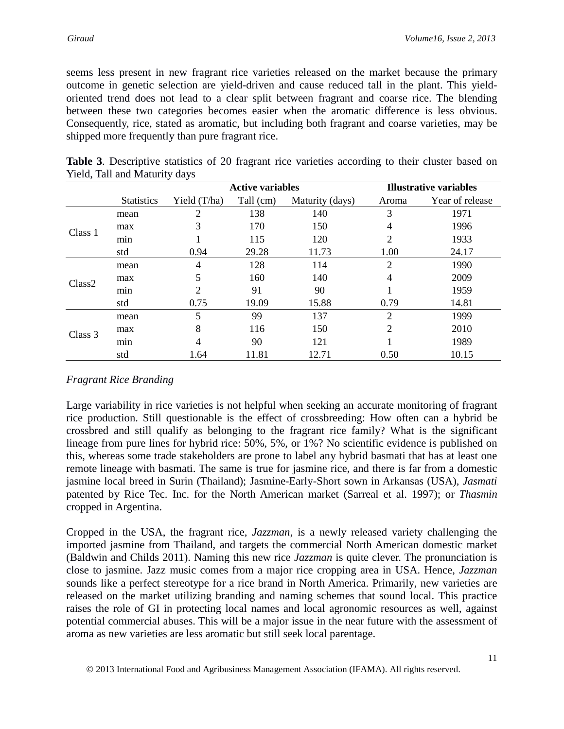seems less present in new fragrant rice varieties released on the market because the primary outcome in genetic selection are yield-driven and cause reduced tall in the plant. This yieldoriented trend does not lead to a clear split between fragrant and coarse rice. The blending between these two categories becomes easier when the aromatic difference is less obvious. Consequently, rice, stated as aromatic, but including both fragrant and coarse varieties, may be shipped more frequently than pure fragrant rice.

|         |                   |              | <b>Active variables</b> |                 |                | <b>Illustrative variables</b> |
|---------|-------------------|--------------|-------------------------|-----------------|----------------|-------------------------------|
|         | <b>Statistics</b> | Yield (T/ha) | Tall (cm)               | Maturity (days) | Aroma          | Year of release               |
|         | mean              | 2            | 138                     | 140             | 3              | 1971                          |
|         | max               | 3            | 170                     | 150             | 4              | 1996                          |
| Class 1 | min               |              | 115                     | 120             | 2              | 1933                          |
|         | std               | 0.94         | 29.28                   | 11.73           | 1.00           | 24.17                         |
|         | mean              | 4            | 128                     | 114             | $\overline{2}$ | 1990                          |
| Class2  | max               | 5            | 160                     | 140             | 4              | 2009                          |
|         | min               | 2            | 91                      | 90              |                | 1959                          |
|         | std               | 0.75         | 19.09                   | 15.88           | 0.79           | 14.81                         |
|         | mean              | 5            | 99                      | 137             | 2              | 1999                          |
| Class 3 | max               | 8            | 116                     | 150             | $\overline{2}$ | 2010                          |
|         | min               | 4            | 90                      | 121             |                | 1989                          |
|         | std               | 1.64         | 11.81                   | 12.71           | 0.50           | 10.15                         |

|  | <b>Table 3.</b> Descriptive statistics of 20 fragrant rice varieties according to their cluster based on |  |  |  |  |  |  |
|--|----------------------------------------------------------------------------------------------------------|--|--|--|--|--|--|
|  | Yield, Tall and Maturity days                                                                            |  |  |  |  |  |  |

### *Fragrant Rice Branding*

Large variability in rice varieties is not helpful when seeking an accurate monitoring of fragrant rice production. Still questionable is the effect of crossbreeding: How often can a hybrid be crossbred and still qualify as belonging to the fragrant rice family? What is the significant lineage from pure lines for hybrid rice: 50%, 5%, or 1%? No scientific evidence is published on this, whereas some trade stakeholders are prone to label any hybrid basmati that has at least one remote lineage with basmati. The same is true for jasmine rice, and there is far from a domestic jasmine local breed in Surin (Thailand); Jasmine-Early-Short sown in Arkansas (USA), *Jasmati* patented by Rice Tec. Inc. for the North American market (Sarreal et al. 1997); or *Thasmin* cropped in Argentina.

Cropped in the USA, the fragrant rice, *Jazzman*, is a newly released variety challenging the imported jasmine from Thailand, and targets the commercial North American domestic market (Baldwin and Childs 2011). Naming this new rice *Jazzman* is quite clever. The pronunciation is close to jasmine. Jazz music comes from a major rice cropping area in USA. Hence, *Jazzman*  sounds like a perfect stereotype for a rice brand in North America. Primarily, new varieties are released on the market utilizing branding and naming schemes that sound local. This practice raises the role of GI in protecting local names and local agronomic resources as well, against potential commercial abuses. This will be a major issue in the near future with the assessment of aroma as new varieties are less aromatic but still seek local parentage.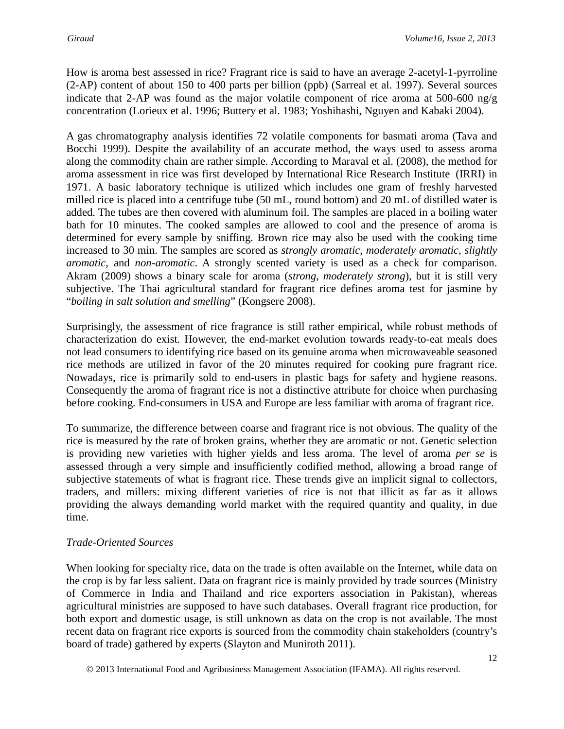How is aroma best assessed in rice? Fragrant rice is said to have an average 2-acetyl-1-pyrroline (2-AP) content of about 150 to 400 parts per billion (ppb) (Sarreal et al. 1997). Several sources indicate that 2-AP was found as the major volatile component of rice aroma at 500-600 ng/g concentration (Lorieux et al. 1996; Buttery et al. 1983; Yoshihashi, Nguyen and Kabaki 2004).

A gas chromatography analysis identifies 72 volatile components for basmati aroma (Tava and Bocchi 1999). Despite the availability of an accurate method, the ways used to assess aroma along the commodity chain are rather simple. According to Maraval et al. (2008), the method for aroma assessment in rice was first developed by International Rice Research Institute (IRRI) in 1971. A basic laboratory technique is utilized which includes one gram of freshly harvested milled rice is placed into a centrifuge tube (50 mL, round bottom) and 20 mL of distilled water is added. The tubes are then covered with aluminum foil. The samples are placed in a boiling water bath for 10 minutes. The cooked samples are allowed to cool and the presence of aroma is determined for every sample by sniffing. Brown rice may also be used with the cooking time increased to 30 min. The samples are scored as *strongly aromatic*, *moderately aromatic*, *slightly aromatic*, and *non-aromatic*. A strongly scented variety is used as a check for comparison. Akram (2009) shows a binary scale for aroma (*strong*, *moderately strong*), but it is still very subjective. The Thai agricultural standard for fragrant rice defines aroma test for jasmine by "*boiling in salt solution and smelling*" (Kongsere 2008).

Surprisingly, the assessment of rice fragrance is still rather empirical, while robust methods of characterization do exist. However, the end-market evolution towards ready-to-eat meals does not lead consumers to identifying rice based on its genuine aroma when microwaveable seasoned rice methods are utilized in favor of the 20 minutes required for cooking pure fragrant rice. Nowadays, rice is primarily sold to end-users in plastic bags for safety and hygiene reasons. Consequently the aroma of fragrant rice is not a distinctive attribute for choice when purchasing before cooking. End-consumers in USA and Europe are less familiar with aroma of fragrant rice.

To summarize, the difference between coarse and fragrant rice is not obvious. The quality of the rice is measured by the rate of broken grains, whether they are aromatic or not. Genetic selection is providing new varieties with higher yields and less aroma. The level of aroma *per se* is assessed through a very simple and insufficiently codified method, allowing a broad range of subjective statements of what is fragrant rice. These trends give an implicit signal to collectors, traders, and millers: mixing different varieties of rice is not that illicit as far as it allows providing the always demanding world market with the required quantity and quality, in due time.

### *Trade-Oriented Sources*

When looking for specialty rice, data on the trade is often available on the Internet, while data on the crop is by far less salient. Data on fragrant rice is mainly provided by trade sources (Ministry of Commerce in India and Thailand and rice exporters association in Pakistan), whereas agricultural ministries are supposed to have such databases. Overall fragrant rice production, for both export and domestic usage, is still unknown as data on the crop is not available. The most recent data on fragrant rice exports is sourced from the commodity chain stakeholders (country's board of trade) gathered by experts (Slayton and Muniroth 2011).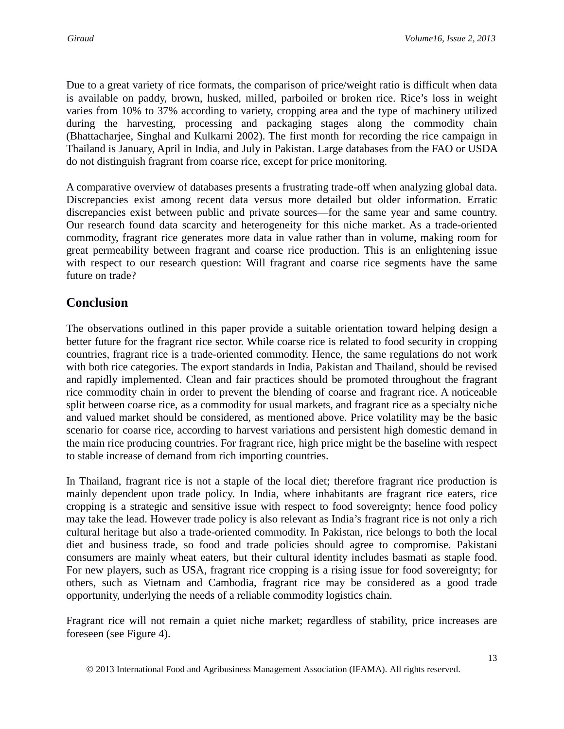Due to a great variety of rice formats, the comparison of price/weight ratio is difficult when data is available on paddy, brown, husked, milled, parboiled or broken rice. Rice's loss in weight varies from 10% to 37% according to variety, cropping area and the type of machinery utilized during the harvesting, processing and packaging stages along the commodity chain (Bhattacharjee, Singhal and Kulkarni 2002). The first month for recording the rice campaign in Thailand is January, April in India, and July in Pakistan. Large databases from the FAO or USDA do not distinguish fragrant from coarse rice, except for price monitoring.

A comparative overview of databases presents a frustrating trade-off when analyzing global data. Discrepancies exist among recent data versus more detailed but older information. Erratic discrepancies exist between public and private sources—for the same year and same country. Our research found data scarcity and heterogeneity for this niche market. As a trade-oriented commodity, fragrant rice generates more data in value rather than in volume, making room for great permeability between fragrant and coarse rice production. This is an enlightening issue with respect to our research question: Will fragrant and coarse rice segments have the same future on trade?

## **Conclusion**

The observations outlined in this paper provide a suitable orientation toward helping design a better future for the fragrant rice sector. While coarse rice is related to food security in cropping countries, fragrant rice is a trade-oriented commodity. Hence, the same regulations do not work with both rice categories. The export standards in India, Pakistan and Thailand, should be revised and rapidly implemented. Clean and fair practices should be promoted throughout the fragrant rice commodity chain in order to prevent the blending of coarse and fragrant rice. A noticeable split between coarse rice, as a commodity for usual markets, and fragrant rice as a specialty niche and valued market should be considered, as mentioned above. Price volatility may be the basic scenario for coarse rice, according to harvest variations and persistent high domestic demand in the main rice producing countries. For fragrant rice, high price might be the baseline with respect to stable increase of demand from rich importing countries.

In Thailand, fragrant rice is not a staple of the local diet; therefore fragrant rice production is mainly dependent upon trade policy. In India, where inhabitants are fragrant rice eaters, rice cropping is a strategic and sensitive issue with respect to food sovereignty; hence food policy may take the lead. However trade policy is also relevant as India's fragrant rice is not only a rich cultural heritage but also a trade-oriented commodity. In Pakistan, rice belongs to both the local diet and business trade, so food and trade policies should agree to compromise. Pakistani consumers are mainly wheat eaters, but their cultural identity includes basmati as staple food. For new players, such as USA, fragrant rice cropping is a rising issue for food sovereignty; for others, such as Vietnam and Cambodia, fragrant rice may be considered as a good trade opportunity, underlying the needs of a reliable commodity logistics chain.

Fragrant rice will not remain a quiet niche market; regardless of stability, price increases are foreseen (see Figure 4).

2013 International Food and Agribusiness Management Association (IFAMA). All rights reserved.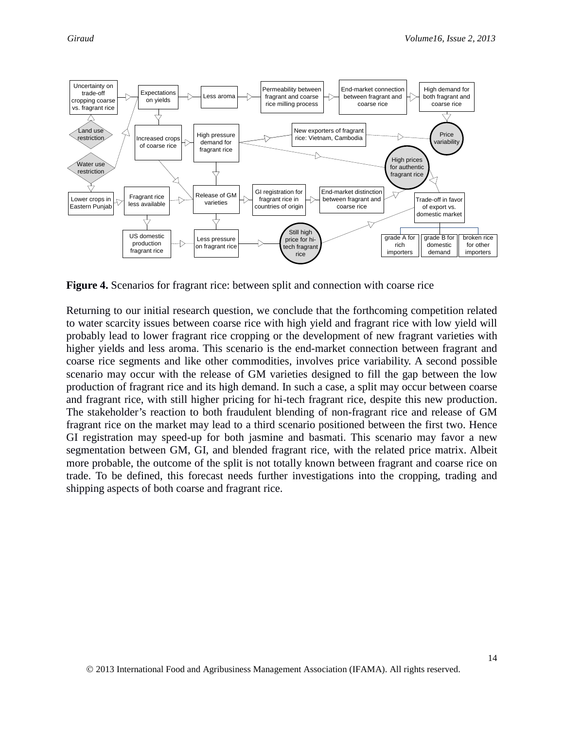

**Figure 4.** Scenarios for fragrant rice: between split and connection with coarse rice

Returning to our initial research question, we conclude that the forthcoming competition related to water scarcity issues between coarse rice with high yield and fragrant rice with low yield will probably lead to lower fragrant rice cropping or the development of new fragrant varieties with higher yields and less aroma. This scenario is the end-market connection between fragrant and coarse rice segments and like other commodities, involves price variability. A second possible scenario may occur with the release of GM varieties designed to fill the gap between the low production of fragrant rice and its high demand. In such a case, a split may occur between coarse and fragrant rice, with still higher pricing for hi-tech fragrant rice, despite this new production. The stakeholder's reaction to both fraudulent blending of non-fragrant rice and release of GM fragrant rice on the market may lead to a third scenario positioned between the first two. Hence GI registration may speed-up for both jasmine and basmati. This scenario may favor a new segmentation between GM, GI, and blended fragrant rice, with the related price matrix. Albeit more probable, the outcome of the split is not totally known between fragrant and coarse rice on trade. To be defined, this forecast needs further investigations into the cropping, trading and shipping aspects of both coarse and fragrant rice.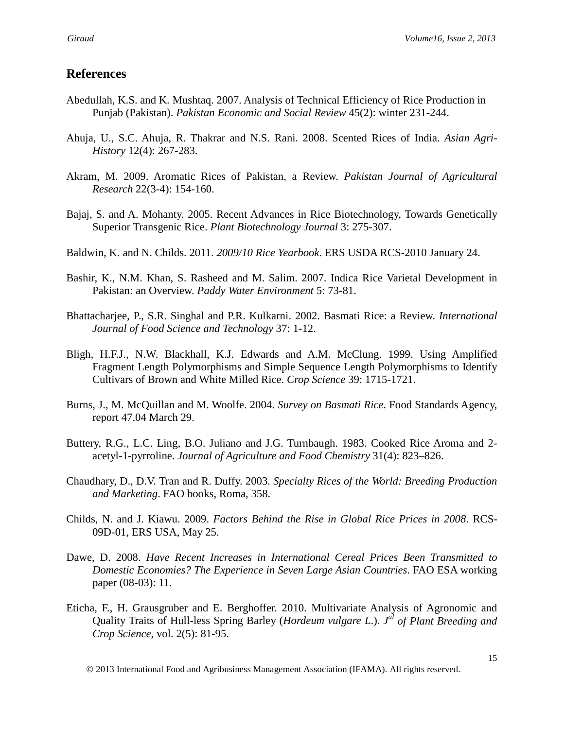### **References**

- Abedullah, K.S. and K. Mushtaq. 2007. Analysis of Technical Efficiency of Rice Production in Punjab (Pakistan). *Pakistan Economic and Social Review* 45(2): winter 231-244.
- Ahuja, U., S.C. Ahuja, R. Thakrar and N.S. Rani. 2008. Scented Rices of India. *Asian Agri-History* 12(4): 267-283.
- Akram, M. 2009. Aromatic Rices of Pakistan, a Review. *Pakistan Journal of Agricultural Research* 22(3-4): 154-160.
- Bajaj, S. and A. Mohanty. 2005. Recent Advances in Rice Biotechnology, Towards Genetically Superior Transgenic Rice. *Plant Biotechnology Journal* 3: 275-307.
- Baldwin, K. and N. Childs. 2011. *2009/10 Rice Yearbook*. ERS USDA RCS-2010 January 24.
- Bashir, K., N.M. Khan, S. Rasheed and M. Salim. 2007. Indica Rice Varietal Development in Pakistan: an Overview. *Paddy Water Environment* 5: 73-81.
- Bhattacharjee, P., S.R. Singhal and P.R. Kulkarni. 2002. Basmati Rice: a Review. *International Journal of Food Science and Technology* 37: 1-12.
- Bligh, H.F.J., N.W. Blackhall, K.J. Edwards and A.M. McClung. 1999. Using Amplified Fragment Length Polymorphisms and Simple Sequence Length Polymorphisms to Identify Cultivars of Brown and White Milled Rice. *Crop Science* 39: 1715-1721.
- Burns, J., M. McQuillan and M. Woolfe. 2004. *Survey on Basmati Rice*. Food Standards Agency, report 47.04 March 29.
- Buttery, R.G., L.C. Ling, B.O. Juliano and J.G. Turnbaugh. 1983. Cooked Rice Aroma and 2 acetyl-1-pyrroline. *Journal of Agriculture and Food Chemistry* 31(4): 823–826.
- Chaudhary, D., D.V. Tran and R. Duffy. 2003. *Specialty Rices of the World: Breeding Production and Marketing*. FAO books, Roma, 358.
- Childs, N. and J. Kiawu. 2009. *Factors Behind the Rise in Global Rice Prices in 2008*. RCS-09D-01, ERS USA, May 25.
- Dawe, D. 2008. *Have Recent Increases in International Cereal Prices Been Transmitted to Domestic Economies? The Experience in Seven Large Asian Countries*. FAO ESA working paper (08-03): 11.
- Eticha, F., H. Grausgruber and E. Berghoffer. 2010. Multivariate Analysis of Agronomic and Quality Traits of Hull-less Spring Barley (*Hordeum vulgare L.*). *J*<sup>al</sup> of Plant Breeding and *Crop Science*, vol. 2(5): 81-95.

2013 International Food and Agribusiness Management Association (IFAMA). All rights reserved.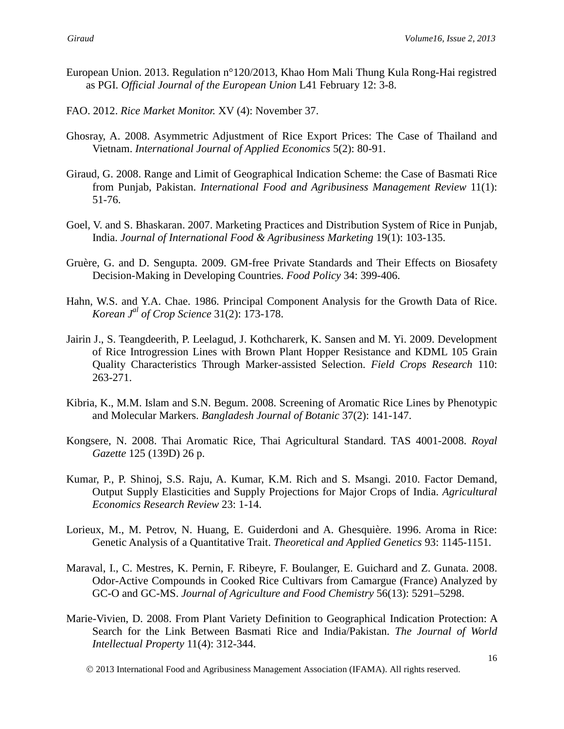- European Union. 2013. Regulation n°120/2013, Khao Hom Mali Thung Kula Rong-Hai registred as PGI. *Official Journal of the European Union* L41 February 12: 3-8.
- FAO. 2012. *Rice Market Monitor.* XV (4): November 37.
- Ghosray, A. 2008. Asymmetric Adjustment of Rice Export Prices: The Case of Thailand and Vietnam. *International Journal of Applied Economics* 5(2): 80-91.
- Giraud, G. 2008. Range and Limit of Geographical Indication Scheme: the Case of Basmati Rice from Punjab, Pakistan. *International Food and Agribusiness Management Review* 11(1): 51-76.
- Goel, V. and S. Bhaskaran. 2007. Marketing Practices and Distribution System of Rice in Punjab, India. *Journal of International Food & Agribusiness Marketing* 19(1): 103-135.
- Gruère, G. and D. Sengupta. 2009. GM-free Private Standards and Their Effects on Biosafety Decision-Making in Developing Countries. *Food Policy* 34: 399-406.
- Hahn, W.S. and Y.A. Chae. 1986. Principal Component Analysis for the Growth Data of Rice. *Korean J al of Crop Science* 31(2): 173-178.
- Jairin J., S. Teangdeerith, P. Leelagud, J. Kothcharerk, K. Sansen and M. Yi. 2009. Development of Rice Introgression Lines with Brown Plant Hopper Resistance and KDML 105 Grain Quality Characteristics Through Marker-assisted Selection. *Field Crops Research* 110: 263-271.
- Kibria, K., M.M. Islam and S.N. Begum. 2008. Screening of Aromatic Rice Lines by Phenotypic and Molecular Markers. *Bangladesh Journal of Botanic* 37(2): 141-147.
- Kongsere, N. 2008. Thai Aromatic Rice, Thai Agricultural Standard. TAS 4001-2008. *Royal Gazette* 125 (139D) 26 p.
- Kumar, P., P. Shinoj, S.S. Raju, A. Kumar, K.M. Rich and S. Msangi. 2010. Factor Demand, Output Supply Elasticities and Supply Projections for Major Crops of India. *Agricultural Economics Research Review* 23: 1-14.
- Lorieux, M., M. Petrov, N. Huang, E. Guiderdoni and A. Ghesquière. 1996. Aroma in Rice: Genetic Analysis of a Quantitative Trait. *Theoretical and Applied Genetics* 93: 1145-1151.
- Maraval, I., C. Mestres, K. Pernin, F. Ribeyre, F. Boulanger, E. Guichard and Z. Gunata. 2008. Odor-Active Compounds in Cooked Rice Cultivars from Camargue (France) Analyzed by GC-O and GC-MS. *Journal of Agriculture and Food Chemistry* 56(13): 5291–5298.
- Marie-Vivien, D. 2008. From Plant Variety Definition to Geographical Indication Protection: A Search for the Link Between Basmati Rice and India/Pakistan. *The Journal of World Intellectual Property* 11(4): 312-344.

2013 International Food and Agribusiness Management Association (IFAMA). All rights reserved.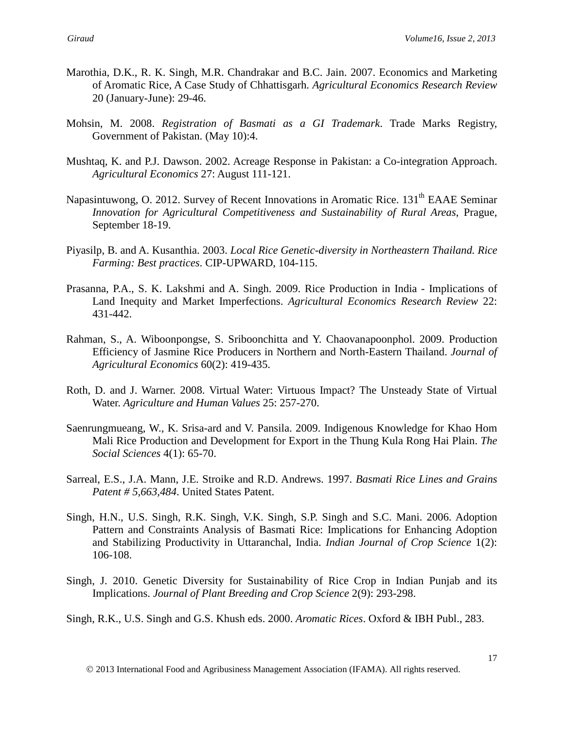- Marothia, D.K., R. K. Singh, M.R. Chandrakar and B.C. Jain. 2007. Economics and Marketing of Aromatic Rice, A Case Study of Chhattisgarh. *Agricultural Economics Research Review* 20 (January-June): 29-46.
- Mohsin, M. 2008. *Registration of Basmati as a GI Trademark*. Trade Marks Registry, Government of Pakistan. (May 10):4.
- Mushtaq, K. and P.J. Dawson. 2002. Acreage Response in Pakistan: a Co-integration Approach. *Agricultural Economics* 27: August 111-121.
- Napasintuwong, O. 2012. Survey of Recent Innovations in Aromatic Rice. 131<sup>th</sup> EAAE Seminar *Innovation for Agricultural Competitiveness and Sustainability of Rural Areas*, Prague, September 18-19.
- Piyasilp, B. and A. Kusanthia. 2003. *Local Rice Genetic-diversity in Northeastern Thailand. Rice Farming: Best practices*. CIP-UPWARD, 104-115.
- Prasanna, P.A., S. K. Lakshmi and A. Singh. 2009. Rice Production in India Implications of Land Inequity and Market Imperfections. *Agricultural Economics Research Review* 22: 431-442.
- Rahman, S., A. Wiboonpongse, S. Sriboonchitta and Y. Chaovanapoonphol. 2009. Production Efficiency of Jasmine Rice Producers in Northern and North-Eastern Thailand. *Journal of Agricultural Economics* 60(2): 419-435.
- Roth, D. and J. Warner. 2008. Virtual Water: Virtuous Impact? The Unsteady State of Virtual Water. *Agriculture and Human Values* 25: 257-270.
- Saenrungmueang, W., K. Srisa-ard and V. Pansila. 2009. Indigenous Knowledge for Khao Hom Mali Rice Production and Development for Export in the Thung Kula Rong Hai Plain. *The Social Sciences* 4(1): 65-70.
- Sarreal, E.S., J.A. Mann, J.E. Stroike and R.D. Andrews. 1997. *Basmati Rice Lines and Grains Patent # 5,663,484*. United States Patent.
- Singh, H.N., U.S. Singh, R.K. Singh, V.K. Singh, S.P. Singh and S.C. Mani. 2006. Adoption Pattern and Constraints Analysis of Basmati Rice: Implications for Enhancing Adoption and Stabilizing Productivity in Uttaranchal, India. *Indian Journal of Crop Science* 1(2): 106-108.
- Singh, J. 2010. Genetic Diversity for Sustainability of Rice Crop in Indian Punjab and its Implications. *Journal of Plant Breeding and Crop Science* 2(9): 293-298.
- Singh, R.K., U.S. Singh and G.S. Khush eds. 2000. *Aromatic Rices*. Oxford & IBH Publ., 283.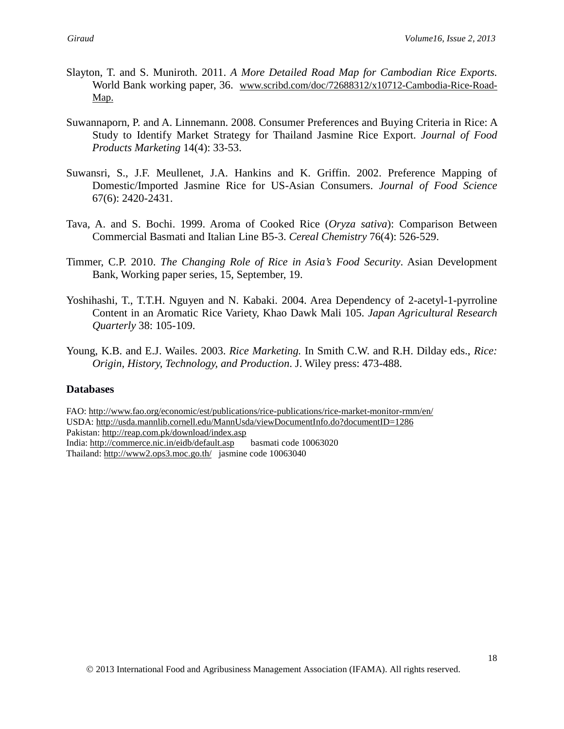- Slayton, T. and S. Muniroth. 2011. *A More Detailed Road Map for Cambodian Rice Exports.* World Bank working paper, 36. [www.scribd.com/doc/72688312/x10712-Cambodia-Rice-Road-](http://www.scribd.com/doc/72688312/x10712-Cambodia-Rice-Road-Map)[Map.](http://www.scribd.com/doc/72688312/x10712-Cambodia-Rice-Road-Map)
- Suwannaporn, P. and A. Linnemann. 2008. Consumer Preferences and Buying Criteria in Rice: A Study to Identify Market Strategy for Thailand Jasmine Rice Export. *Journal of Food Products Marketing* 14(4): 33-53.
- Suwansri, S., J.F. Meullenet, J.A. Hankins and K. Griffin. 2002. Preference Mapping of Domestic/Imported Jasmine Rice for US-Asian Consumers. *Journal of Food Science* 67(6): 2420-2431.
- Tava, A. and S. Bochi. 1999. Aroma of Cooked Rice (*Oryza sativa*): Comparison Between Commercial Basmati and Italian Line B5-3. *Cereal Chemistry* 76(4): 526-529.
- Timmer, C.P. 2010. *The Changing Role of Rice in Asia's Food Security*. Asian Development Bank, Working paper series, 15, September, 19.
- Yoshihashi, T., T.T.H. Nguyen and N. Kabaki. 2004. Area Dependency of 2-acetyl-1-pyrroline Content in an Aromatic Rice Variety, Khao Dawk Mali 105. *Japan Agricultural Research Quarterly* 38: 105-109.
- Young, K.B. and E.J. Wailes. 2003. *Rice Marketing.* In Smith C.W. and R.H. Dilday eds., *Rice: Origin, History, Technology, and Production*. J. Wiley press: 473-488.

#### **Databases**

FAO:<http://www.fao.org/economic/est/publications/rice-publications/rice-market-monitor-rmm/en/> USDA:<http://usda.mannlib.cornell.edu/MannUsda/viewDocumentInfo.do?documentID=1286> Pakistan:<http://reap.com.pk/download/index.asp> India:<http://commerce.nic.in/eidb/default.asp>basmati code 10063020 Thailand:<http://www2.ops3.moc.go.th/>jasmine code 10063040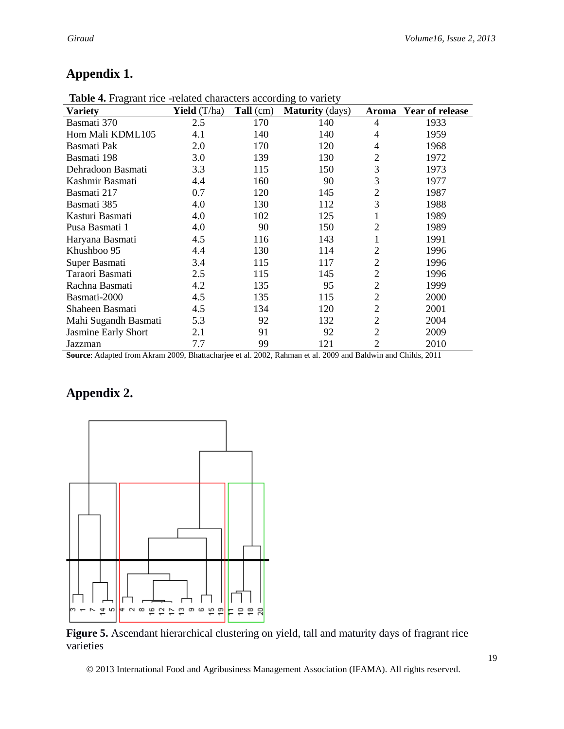# **Appendix 1.**

| $\ldots$             |                       | enturece <sub>o</sub> are |                        |                |                 |
|----------------------|-----------------------|---------------------------|------------------------|----------------|-----------------|
| Variety              | <b>Yield</b> $(T/ha)$ | Tall (cm)                 | <b>Maturity</b> (days) | Aroma          | Year of release |
| Basmati 370          | 2.5                   | 170                       | 140                    | 4              | 1933            |
| Hom Mali KDML105     | 4.1                   | 140                       | 140                    | 4              | 1959            |
| Basmati Pak          | 2.0                   | 170                       | 120                    | 4              | 1968            |
| Basmati 198          | 3.0                   | 139                       | 130                    | 2              | 1972            |
| Dehradoon Basmati    | 3.3                   | 115                       | 150                    | 3              | 1973            |
| Kashmir Basmati      | 4.4                   | 160                       | 90                     | 3              | 1977            |
| Basmati 217          | 0.7                   | 120                       | 145                    | $\overline{2}$ | 1987            |
| Basmati 385          | 4.0                   | 130                       | 112                    | 3              | 1988            |
| Kasturi Basmati      | 4.0                   | 102                       | 125                    | 1              | 1989            |
| Pusa Basmati 1       | 4.0                   | 90                        | 150                    | 2              | 1989            |
| Haryana Basmati      | 4.5                   | 116                       | 143                    |                | 1991            |
| Khushboo 95          | 4.4                   | 130                       | 114                    | 2              | 1996            |
| Super Basmati        | 3.4                   | 115                       | 117                    | $\overline{2}$ | 1996            |
| Taraori Basmati      | 2.5                   | 115                       | 145                    | $\overline{2}$ | 1996            |
| Rachna Basmati       | 4.2                   | 135                       | 95                     | $\overline{2}$ | 1999            |
| Basmati-2000         | 4.5                   | 135                       | 115                    | $\overline{2}$ | 2000            |
| Shaheen Basmati      | 4.5                   | 134                       | 120                    | $\overline{2}$ | 2001            |
| Mahi Sugandh Basmati | 5.3                   | 92                        | 132                    | $\overline{2}$ | 2004            |
| Jasmine Early Short  | 2.1                   | 91                        | 92                     | $\overline{2}$ | 2009            |
| Jazzman              | 7.7                   | 99                        | 121                    | $\overline{2}$ | 2010            |
|                      |                       |                           |                        |                |                 |

**Table 4.** Fragrant rice -related characters according to variety

**Source**: Adapted from Akram 2009, Bhattacharjee et al. 2002, Rahman et al. 2009 and Baldwin and Childs, 2011

## **Appendix 2.**



Figure 5. Ascendant hierarchical clustering on yield, tall and maturity days of fragrant rice varieties

2013 International Food and Agribusiness Management Association (IFAMA). All rights reserved.